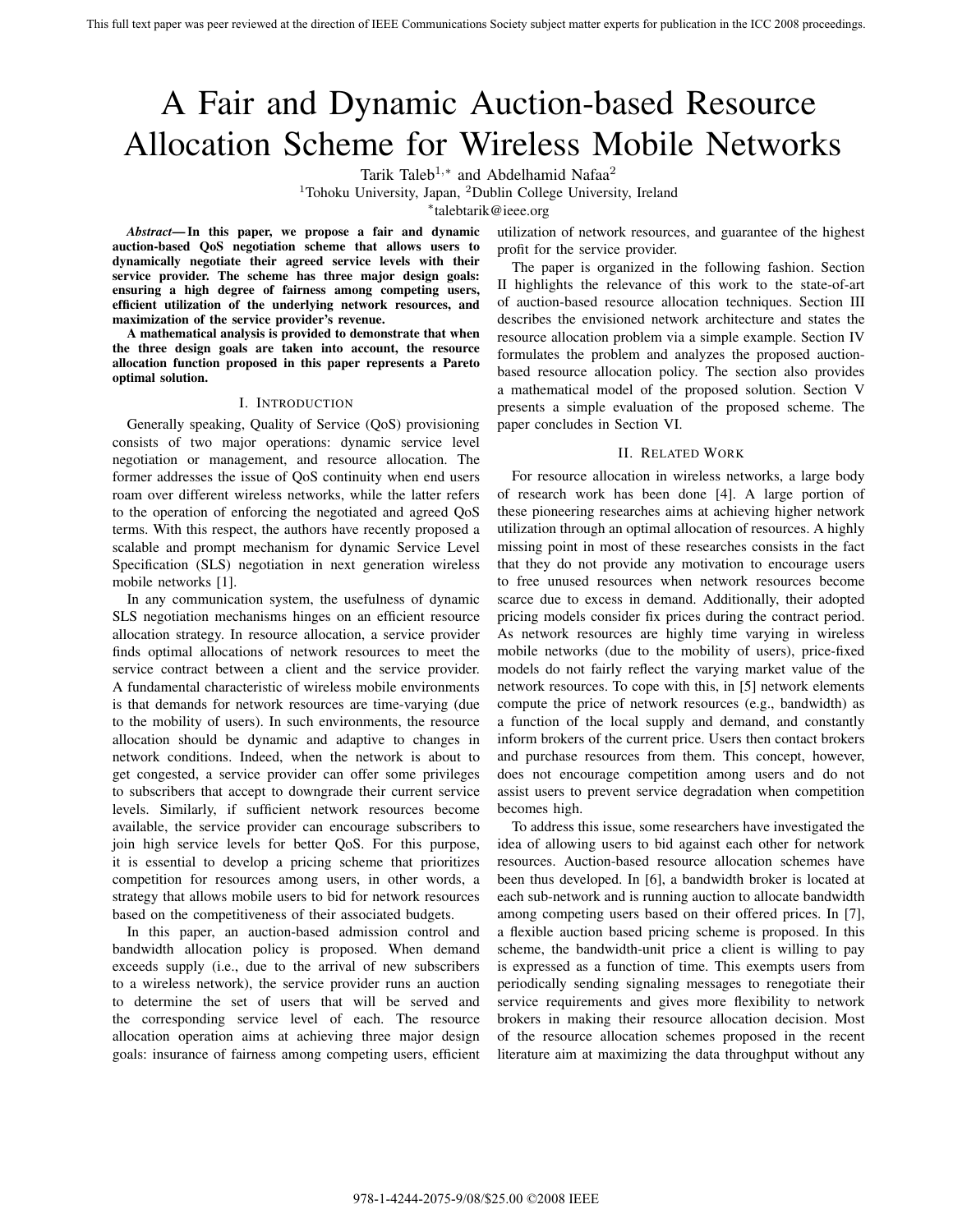# A Fair and Dynamic Auction-based Resource Allocation Scheme for Wireless Mobile Networks

Tarik Taleb<sup>1,∗</sup> and Abdelhamid Nafaa<sup>2</sup>

<sup>1</sup>Tohoku University, Japan, <sup>2</sup>Dublin College University, Ireland

∗talebtarik@ieee.org

*Abstract***— In this paper, we propose a fair and dynamic auction-based QoS negotiation scheme that allows users to dynamically negotiate their agreed service levels with their service provider. The scheme has three major design goals: ensuring a high degree of fairness among competing users, efficient utilization of the underlying network resources, and maximization of the service provider's revenue.**

**A mathematical analysis is provided to demonstrate that when the three design goals are taken into account, the resource allocation function proposed in this paper represents a Pareto optimal solution.**

# I. INTRODUCTION

Generally speaking, Quality of Service (QoS) provisioning consists of two major operations: dynamic service level negotiation or management, and resource allocation. The former addresses the issue of QoS continuity when end users roam over different wireless networks, while the latter refers to the operation of enforcing the negotiated and agreed QoS terms. With this respect, the authors have recently proposed a scalable and prompt mechanism for dynamic Service Level Specification (SLS) negotiation in next generation wireless mobile networks [1].

In any communication system, the usefulness of dynamic SLS negotiation mechanisms hinges on an efficient resource allocation strategy. In resource allocation, a service provider finds optimal allocations of network resources to meet the service contract between a client and the service provider. A fundamental characteristic of wireless mobile environments is that demands for network resources are time-varying (due to the mobility of users). In such environments, the resource allocation should be dynamic and adaptive to changes in network conditions. Indeed, when the network is about to get congested, a service provider can offer some privileges to subscribers that accept to downgrade their current service levels. Similarly, if sufficient network resources become available, the service provider can encourage subscribers to join high service levels for better QoS. For this purpose, it is essential to develop a pricing scheme that prioritizes competition for resources among users, in other words, a strategy that allows mobile users to bid for network resources based on the competitiveness of their associated budgets.

In this paper, an auction-based admission control and bandwidth allocation policy is proposed. When demand exceeds supply (i.e., due to the arrival of new subscribers to a wireless network), the service provider runs an auction to determine the set of users that will be served and the corresponding service level of each. The resource allocation operation aims at achieving three major design goals: insurance of fairness among competing users, efficient utilization of network resources, and guarantee of the highest profit for the service provider.

The paper is organized in the following fashion. Section II highlights the relevance of this work to the state-of-art of auction-based resource allocation techniques. Section III describes the envisioned network architecture and states the resource allocation problem via a simple example. Section IV formulates the problem and analyzes the proposed auctionbased resource allocation policy. The section also provides a mathematical model of the proposed solution. Section V presents a simple evaluation of the proposed scheme. The paper concludes in Section VI.

# II. RELATED WORK

For resource allocation in wireless networks, a large body of research work has been done [4]. A large portion of these pioneering researches aims at achieving higher network utilization through an optimal allocation of resources. A highly missing point in most of these researches consists in the fact that they do not provide any motivation to encourage users to free unused resources when network resources become scarce due to excess in demand. Additionally, their adopted pricing models consider fix prices during the contract period. As network resources are highly time varying in wireless mobile networks (due to the mobility of users), price-fixed models do not fairly reflect the varying market value of the network resources. To cope with this, in [5] network elements compute the price of network resources (e.g., bandwidth) as a function of the local supply and demand, and constantly inform brokers of the current price. Users then contact brokers and purchase resources from them. This concept, however, does not encourage competition among users and do not assist users to prevent service degradation when competition becomes high.

To address this issue, some researchers have investigated the idea of allowing users to bid against each other for network resources. Auction-based resource allocation schemes have been thus developed. In [6], a bandwidth broker is located at each sub-network and is running auction to allocate bandwidth among competing users based on their offered prices. In [7], a flexible auction based pricing scheme is proposed. In this scheme, the bandwidth-unit price a client is willing to pay is expressed as a function of time. This exempts users from periodically sending signaling messages to renegotiate their service requirements and gives more flexibility to network brokers in making their resource allocation decision. Most of the resource allocation schemes proposed in the recent literature aim at maximizing the data throughput without any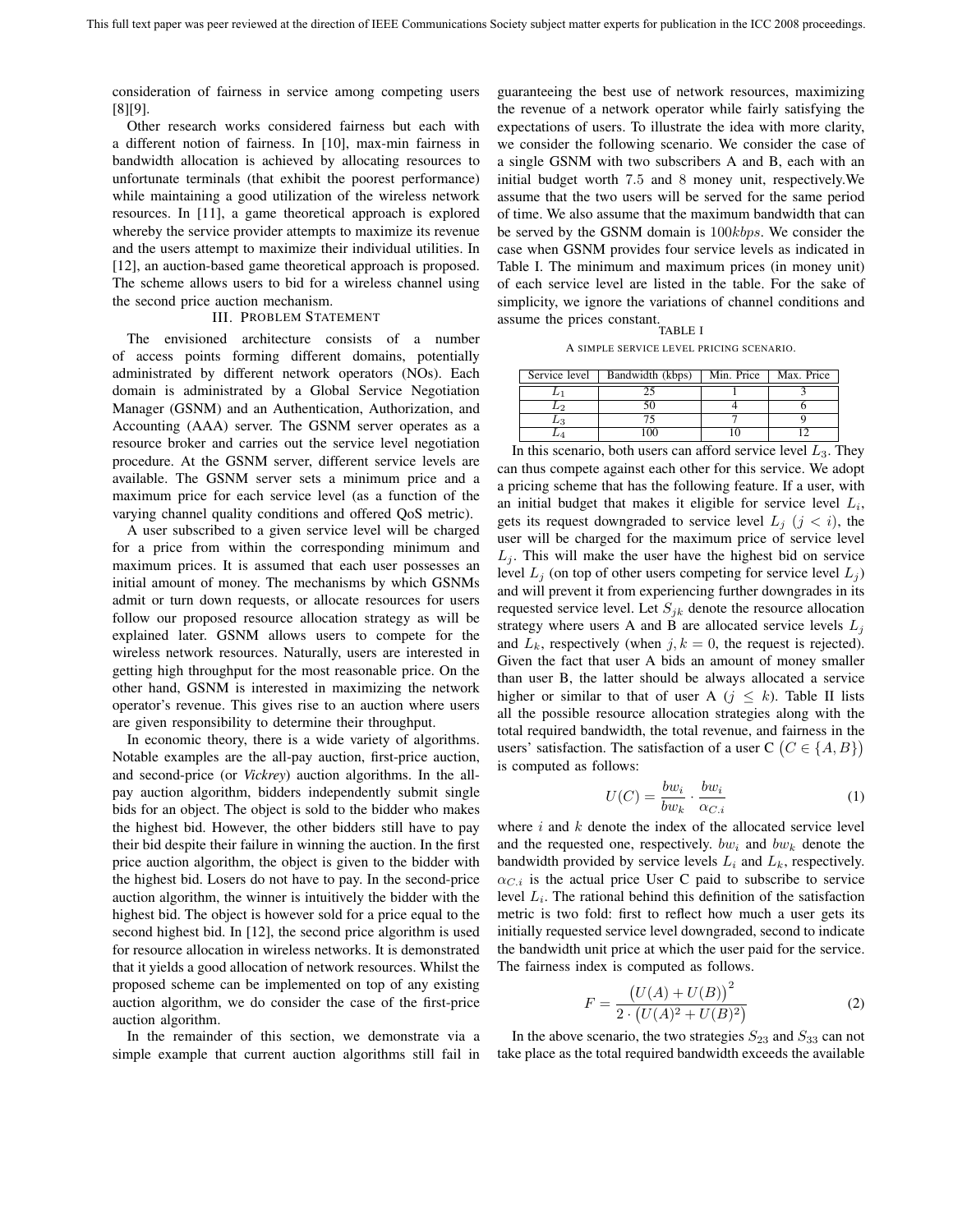consideration of fairness in service among competing users [8][9].

Other research works considered fairness but each with a different notion of fairness. In [10], max-min fairness in bandwidth allocation is achieved by allocating resources to unfortunate terminals (that exhibit the poorest performance) while maintaining a good utilization of the wireless network resources. In [11], a game theoretical approach is explored whereby the service provider attempts to maximize its revenue and the users attempt to maximize their individual utilities. In [12], an auction-based game theoretical approach is proposed. The scheme allows users to bid for a wireless channel using the second price auction mechanism.

### III. PROBLEM STATEMENT

The envisioned architecture consists of a number of access points forming different domains, potentially administrated by different network operators (NOs). Each domain is administrated by a Global Service Negotiation Manager (GSNM) and an Authentication, Authorization, and Accounting (AAA) server. The GSNM server operates as a resource broker and carries out the service level negotiation procedure. At the GSNM server, different service levels are available. The GSNM server sets a minimum price and a maximum price for each service level (as a function of the varying channel quality conditions and offered QoS metric).

A user subscribed to a given service level will be charged for a price from within the corresponding minimum and maximum prices. It is assumed that each user possesses an initial amount of money. The mechanisms by which GSNMs admit or turn down requests, or allocate resources for users follow our proposed resource allocation strategy as will be explained later. GSNM allows users to compete for the wireless network resources. Naturally, users are interested in getting high throughput for the most reasonable price. On the other hand, GSNM is interested in maximizing the network operator's revenue. This gives rise to an auction where users are given responsibility to determine their throughput.

In economic theory, there is a wide variety of algorithms. Notable examples are the all-pay auction, first-price auction, and second-price (or *Vickrey*) auction algorithms. In the allpay auction algorithm, bidders independently submit single bids for an object. The object is sold to the bidder who makes the highest bid. However, the other bidders still have to pay their bid despite their failure in winning the auction. In the first price auction algorithm, the object is given to the bidder with the highest bid. Losers do not have to pay. In the second-price auction algorithm, the winner is intuitively the bidder with the highest bid. The object is however sold for a price equal to the second highest bid. In [12], the second price algorithm is used for resource allocation in wireless networks. It is demonstrated that it yields a good allocation of network resources. Whilst the proposed scheme can be implemented on top of any existing auction algorithm, we do consider the case of the first-price auction algorithm.

In the remainder of this section, we demonstrate via a simple example that current auction algorithms still fail in

guaranteeing the best use of network resources, maximizing the revenue of a network operator while fairly satisfying the expectations of users. To illustrate the idea with more clarity, we consider the following scenario. We consider the case of a single GSNM with two subscribers A and B, each with an initial budget worth 7.5 and 8 money unit, respectively.We assume that the two users will be served for the same period of time. We also assume that the maximum bandwidth that can be served by the GSNM domain is 100kbps. We consider the case when GSNM provides four service levels as indicated in Table I. The minimum and maximum prices (in money unit) of each service level are listed in the table. For the sake of simplicity, we ignore the variations of channel conditions and  $\sum_{\text{assume the prices constant}}$ .

A SIMPLE SERVICE LEVEL PRICING SCENARIO.

| Bandwidth (kbps) | Min. Price | Max. Price |
|------------------|------------|------------|
|                  |            |            |
|                  |            |            |
|                  |            |            |
| $\overline{00}$  |            |            |
|                  | .          | $\sim$     |

In this scenario, both users can afford service level  $L_3$ . They can thus compete against each other for this service. We adopt a pricing scheme that has the following feature. If a user, with an initial budget that makes it eligible for service level  $L_i$ , gets its request downgraded to service level  $L_j$   $(j < i)$ , the user will be charged for the maximum price of service level  $L_j$ . This will make the user have the highest bid on service level  $L_i$  (on top of other users competing for service level  $L_i$ ) and will prevent it from experiencing further downgrades in its requested service level. Let  $S_{ik}$  denote the resource allocation strategy where users A and B are allocated service levels  $L_j$ and  $L_k$ , respectively (when  $j, k = 0$ , the request is rejected). Given the fact that user A bids an amount of money smaller than user B, the latter should be always allocated a service higher or similar to that of user A ( $j \leq k$ ). Table II lists all the possible resource allocation strategies along with the total required bandwidth, the total revenue, and fairness in the users' satisfaction. The satisfaction of a user  $C(C \in \{A, B\})$ is computed as follows:

$$
U(C) = \frac{bw_i}{bw_k} \cdot \frac{bw_i}{\alpha_{C,i}} \tag{1}
$$

where  $i$  and  $k$  denote the index of the allocated service level and the requested one, respectively.  $bw_i$  and  $bw_k$  denote the bandwidth provided by service levels  $L_i$  and  $L_k$ , respectively.  $\alpha_{C,i}$  is the actual price User C paid to subscribe to service level  $L_i$ . The rational behind this definition of the satisfaction metric is two fold: first to reflect how much a user gets its initially requested service level downgraded, second to indicate the bandwidth unit price at which the user paid for the service. The fairness index is computed as follows.

$$
F = \frac{(U(A) + U(B))^2}{2 \cdot (U(A)^2 + U(B)^2)}
$$
 (2)

In the above scenario, the two strategies  $S_{23}$  and  $S_{33}$  can not take place as the total required bandwidth exceeds the available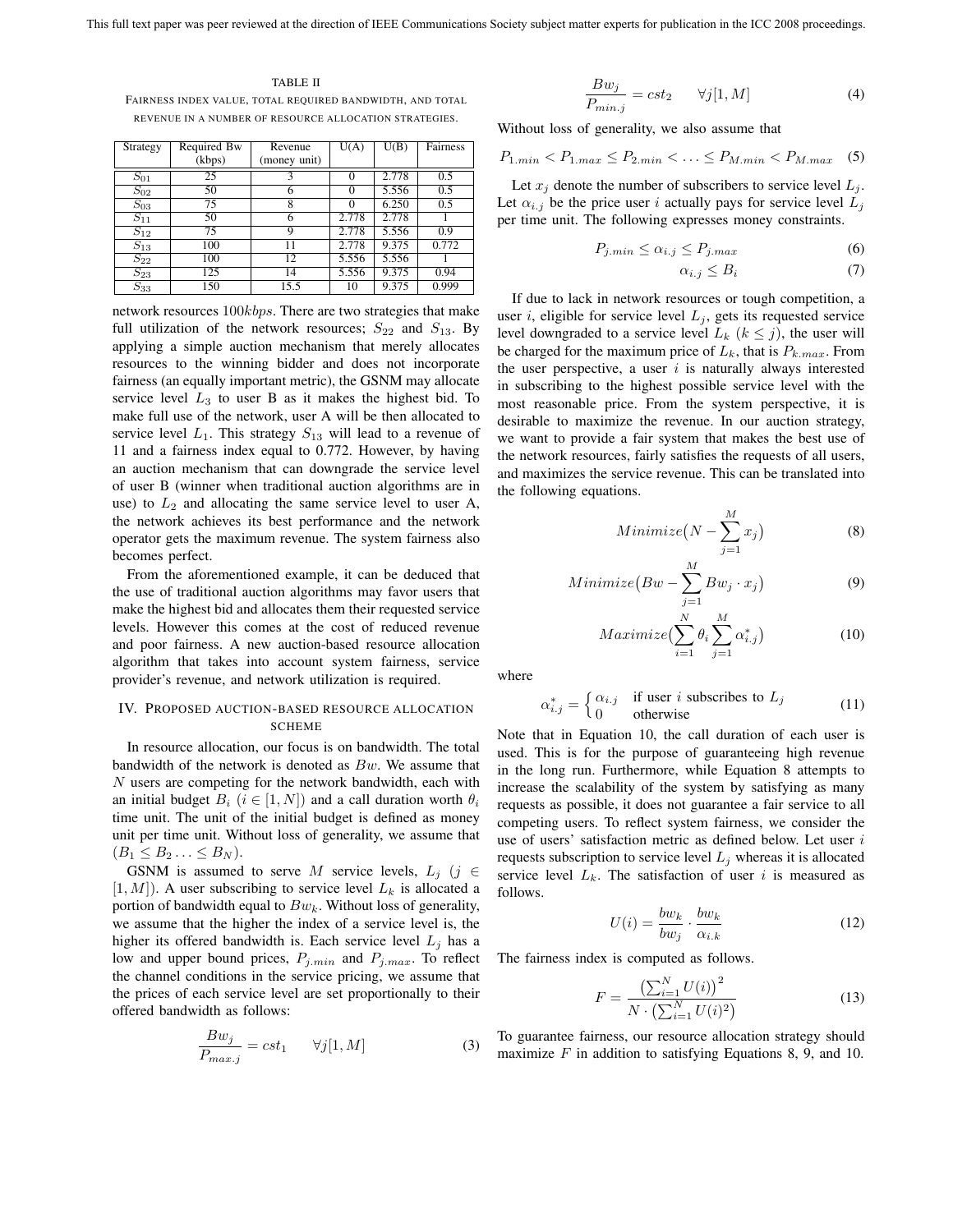#### TABLE II

FAIRNESS INDEX VALUE, TOTAL REQUIRED BANDWIDTH, AND TOTAL REVENUE IN A NUMBER OF RESOURCE ALLOCATION STRATEGIES.

| Strategy | Required Bw | Revenue      | U(A)     | U(B)  | Fairness |
|----------|-------------|--------------|----------|-------|----------|
|          | (kbps)      | (money unit) |          |       |          |
| $S_{01}$ | 25          | 3            | $\Omega$ | 2.778 | 0.5      |
| $S_{02}$ | 50          | 6            | $\Omega$ | 5.556 | 0.5      |
| $S_{03}$ | 75          | 8            | $\Omega$ | 6.250 | 0.5      |
| $S_{11}$ | 50          | 6            | 2.778    | 2.778 |          |
| $S_{12}$ | 75          | 9            | 2.778    | 5.556 | 0.9      |
| $S_{13}$ | 100         | 11           | 2.778    | 9.375 | 0.772    |
| $S_{22}$ | 100         | 12           | 5.556    | 5.556 |          |
| $S_{23}$ | 125         | 14           | 5.556    | 9.375 | 0.94     |
| $S_{33}$ | 150         | 15.5         | 10       | 9.375 | 0.999    |

network resources 100kbps. There are two strategies that make full utilization of the network resources;  $S_{22}$  and  $S_{13}$ . By applying a simple auction mechanism that merely allocates resources to the winning bidder and does not incorporate fairness (an equally important metric), the GSNM may allocate service level  $L_3$  to user B as it makes the highest bid. To make full use of the network, user A will be then allocated to service level  $L_1$ . This strategy  $S_{13}$  will lead to a revenue of 11 and a fairness index equal to 0.772. However, by having an auction mechanism that can downgrade the service level of user B (winner when traditional auction algorithms are in use) to  $L_2$  and allocating the same service level to user A, the network achieves its best performance and the network operator gets the maximum revenue. The system fairness also becomes perfect.

From the aforementioned example, it can be deduced that the use of traditional auction algorithms may favor users that make the highest bid and allocates them their requested service levels. However this comes at the cost of reduced revenue and poor fairness. A new auction-based resource allocation algorithm that takes into account system fairness, service provider's revenue, and network utilization is required.

# IV. PROPOSED AUCTION-BASED RESOURCE ALLOCATION **SCHEME**

In resource allocation, our focus is on bandwidth. The total bandwidth of the network is denoted as  $Bw$ . We assume that N users are competing for the network bandwidth, each with an initial budget  $B_i$  ( $i \in [1, N]$ ) and a call duration worth  $\theta_i$ time unit. The unit of the initial budget is defined as money unit per time unit. Without loss of generality, we assume that  $(B_1 \leq B_2 \ldots \leq B_N).$ 

GSNM is assumed to serve M service levels,  $L_j$  (j  $\in$  $[1, M]$ ). A user subscribing to service level  $L_k$  is allocated a portion of bandwidth equal to  $Bw_k$ . Without loss of generality, we assume that the higher the index of a service level is, the higher its offered bandwidth is. Each service level  $L_j$  has a low and upper bound prices,  $P_{j. min}$  and  $P_{j. max}$ . To reflect the channel conditions in the service pricing, we assume that the prices of each service level are set proportionally to their offered bandwidth as follows:

$$
\frac{Bw_j}{P_{max,j}} = cst_1 \qquad \forall j[1,M] \tag{3}
$$

$$
\frac{Bw_j}{P_{min,j}} = cst_2 \qquad \forall j[1, M] \tag{4}
$$

Without loss of generality, we also assume that

$$
P_{1,min} < P_{1,max} \le P_{2,min} < \ldots \le P_{M,min} < P_{M,max} \tag{5}
$$

Let  $x_j$  denote the number of subscribers to service level  $L_j$ . Let  $\alpha_{i,j}$  be the price user i actually pays for service level  $L_j$ per time unit. The following expresses money constraints.

$$
P_{j,min} \le \alpha_{i,j} \le P_{j,max} \tag{6}
$$

$$
\alpha_{i,j} \le B_i \tag{7}
$$

If due to lack in network resources or tough competition, a user *i*, eligible for service level  $L_i$ , gets its requested service level downgraded to a service level  $L_k$  ( $k \leq j$ ), the user will be charged for the maximum price of  $L_k$ , that is  $P_{k,max}$ . From the user perspective, a user  $i$  is naturally always interested in subscribing to the highest possible service level with the most reasonable price. From the system perspective, it is desirable to maximize the revenue. In our auction strategy, we want to provide a fair system that makes the best use of the network resources, fairly satisfies the requests of all users, and maximizes the service revenue. This can be translated into the following equations.

$$
Minimize(N - \sum_{j=1}^{M} x_j)
$$
 (8)

$$
Minimize (Bw - \sum_{j=1}^{M} Bw_j \cdot x_j)
$$
 (9)

$$
Maximize \left(\sum_{i=1}^{N} \theta_i \sum_{j=1}^{M} \alpha_{i,j}^*\right) \tag{10}
$$

where

$$
\alpha_{i,j}^* = \begin{cases} \alpha_{i,j} & \text{if user } i \text{ subscripts to } L_j \\ 0 & \text{otherwise} \end{cases}
$$
 (11)

Note that in Equation 10, the call duration of each user is used. This is for the purpose of guaranteeing high revenue in the long run. Furthermore, while Equation 8 attempts to increase the scalability of the system by satisfying as many requests as possible, it does not guarantee a fair service to all competing users. To reflect system fairness, we consider the use of users' satisfaction metric as defined below. Let user  $i$ requests subscription to service level  $L_i$  whereas it is allocated service level  $L_k$ . The satisfaction of user i is measured as follows.

$$
U(i) = \frac{bw_k}{bw_j} \cdot \frac{bw_k}{\alpha_{i,k}} \tag{12}
$$

The fairness index is computed as follows.

$$
F = \frac{\left(\sum_{i=1}^{N} U(i)\right)^2}{N \cdot \left(\sum_{i=1}^{N} U(i)^2\right)}
$$
(13)

To guarantee fairness, our resource allocation strategy should maximize  $F$  in addition to satisfying Equations 8, 9, and 10.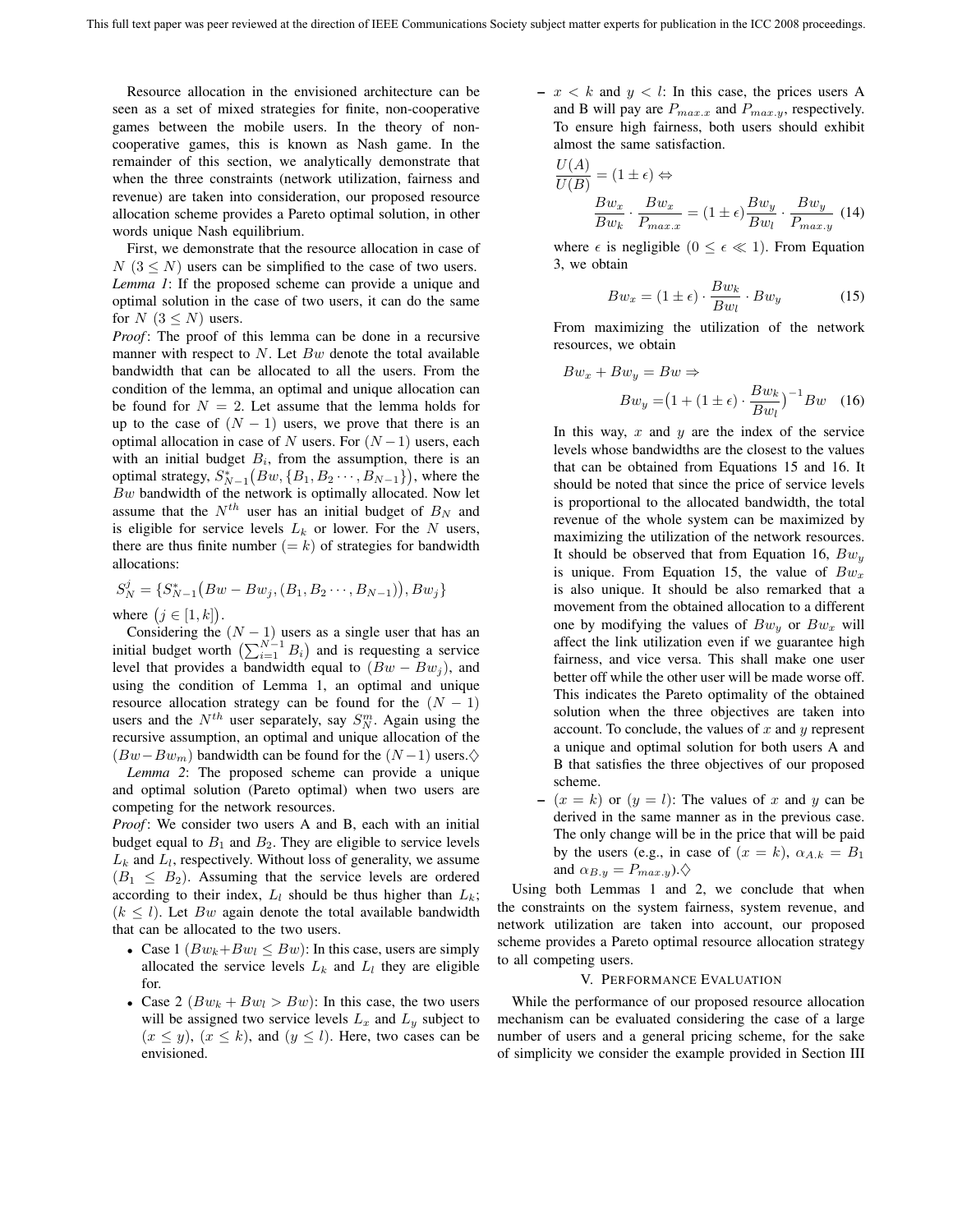Resource allocation in the envisioned architecture can be seen as a set of mixed strategies for finite, non-cooperative games between the mobile users. In the theory of noncooperative games, this is known as Nash game. In the remainder of this section, we analytically demonstrate that when the three constraints (network utilization, fairness and revenue) are taken into consideration, our proposed resource allocation scheme provides a Pareto optimal solution, in other words unique Nash equilibrium.

First, we demonstrate that the resource allocation in case of  $N$  (3  $\leq$  N) users can be simplified to the case of two users. *Lemma 1*: If the proposed scheme can provide a unique and optimal solution in the case of two users, it can do the same for  $N$  (3  $\lt N$ ) users.

*Proof*: The proof of this lemma can be done in a recursive manner with respect to  $N$ . Let  $Bw$  denote the total available bandwidth that can be allocated to all the users. From the condition of the lemma, an optimal and unique allocation can be found for  $N = 2$ . Let assume that the lemma holds for up to the case of  $(N - 1)$  users, we prove that there is an optimal allocation in case of N users. For  $(N-1)$  users, each with an initial budget  $B_i$ , from the assumption, there is an optimal strategy,  $S_{N-1}^*(Bw, {B_1, B_2 \cdots, B_{N-1}})$ , where the  $Bw$  bandwidth of the network is optimally allocated. Now let assume that the  $N^{th}$  user has an initial budget of  $B_N$  and is eligible for service levels  $L_k$  or lower. For the N users, there are thus finite number  $(= k)$  of strategies for bandwidth allocations:

$$
S_N^j = \{ S_{N-1}^*(Bw - Bw_j, (B_1, B_2 \cdots, B_{N-1})), Bw_j \}
$$

where  $(j \in [1, k])$ .

Considering the  $(N-1)$  users as a single user that has an initial budget worth  $\left(\sum_{i=1}^{N-1} B_i\right)$  and is requesting a service level that provides a bandwidth equal to  $(Bw - Bw_j)$ , and using the condition of Lemma 1, an optimal and unique resource allocation strategy can be found for the  $(N - 1)$ users and the  $N^{th}$  user separately, say  $S_N^m$ . Again using the recursive assumption, an optimal and unique allocation of the  $(Bw-Bw_m)$  bandwidth can be found for the  $(N-1)$  users. $\diamondsuit$ 

*Lemma 2*: The proposed scheme can provide a unique and optimal solution (Pareto optimal) when two users are competing for the network resources.

*Proof*: We consider two users A and B, each with an initial budget equal to  $B_1$  and  $B_2$ . They are eligible to service levels  $L_k$  and  $L_l$ , respectively. Without loss of generality, we assume  $(B_1 \leq B_2)$ . Assuming that the service levels are ordered according to their index,  $L_l$  should be thus higher than  $L_k$ ;  $(k \leq l)$ . Let Bw again denote the total available bandwidth that can be allocated to the two users.

- Case  $1 (Bw_k+Bw_l \leq Bw)$ : In this case, users are simply allocated the service levels  $L_k$  and  $L_l$  they are eligible for.
- Case 2  $(Bw_k + Bw_l > Bw)$ : In this case, the two users will be assigned two service levels  $L_x$  and  $L_y$  subject to  $(x \le y)$ ,  $(x \le k)$ , and  $(y \le l)$ . Here, two cases can be envisioned.

 $- x < k$  and  $y < l$ : In this case, the prices users A and B will pay are  $P_{max.x}$  and  $P_{max.y}$ , respectively. To ensure high fairness, both users should exhibit almost the same satisfaction.

$$
\frac{U(A)}{U(B)} = (1 \pm \epsilon) \Leftrightarrow
$$
\n
$$
\frac{Bw_x}{Bw_k} \cdot \frac{Bw_x}{P_{max.x}} = (1 \pm \epsilon) \frac{Bw_y}{Bw_l} \cdot \frac{Bw_y}{P_{max.y}} \quad (14)
$$

where  $\epsilon$  is negligible  $(0 \leq \epsilon \ll 1)$ . From Equation 3, we obtain

$$
Bw_x = (1 \pm \epsilon) \cdot \frac{Bw_k}{Bw_l} \cdot Bw_y \tag{15}
$$

From maximizing the utilization of the network resources, we obtain

$$
Bw_x + Bw_y = Bw \Rightarrow
$$
  
\n
$$
Bw_y = (1 + (1 \pm \epsilon) \cdot \frac{Bw_k}{Bw_l})^{-1}Bw
$$
 (16)

In this way,  $x$  and  $y$  are the index of the service levels whose bandwidths are the closest to the values that can be obtained from Equations 15 and 16. It should be noted that since the price of service levels is proportional to the allocated bandwidth, the total revenue of the whole system can be maximized by maximizing the utilization of the network resources. It should be observed that from Equation 16,  $Bw_y$ is unique. From Equation 15, the value of  $Bw_x$ is also unique. It should be also remarked that a movement from the obtained allocation to a different one by modifying the values of  $Bw_y$  or  $Bw_x$  will affect the link utilization even if we guarantee high fairness, and vice versa. This shall make one user better off while the other user will be made worse off. This indicates the Pareto optimality of the obtained solution when the three objectives are taken into account. To conclude, the values of  $x$  and  $y$  represent a unique and optimal solution for both users A and B that satisfies the three objectives of our proposed scheme.

 $(x = k)$  or  $(y = l)$ : The values of x and y can be derived in the same manner as in the previous case. The only change will be in the price that will be paid by the users (e.g., in case of  $(x = k)$ ,  $\alpha_{A,k} = B_1$ and  $\alpha_{B,y} = P_{max,y}$ ). $\diamondsuit$ 

Using both Lemmas 1 and 2, we conclude that when the constraints on the system fairness, system revenue, and network utilization are taken into account, our proposed scheme provides a Pareto optimal resource allocation strategy to all competing users.

#### V. PERFORMANCE EVALUATION

While the performance of our proposed resource allocation mechanism can be evaluated considering the case of a large number of users and a general pricing scheme, for the sake of simplicity we consider the example provided in Section III